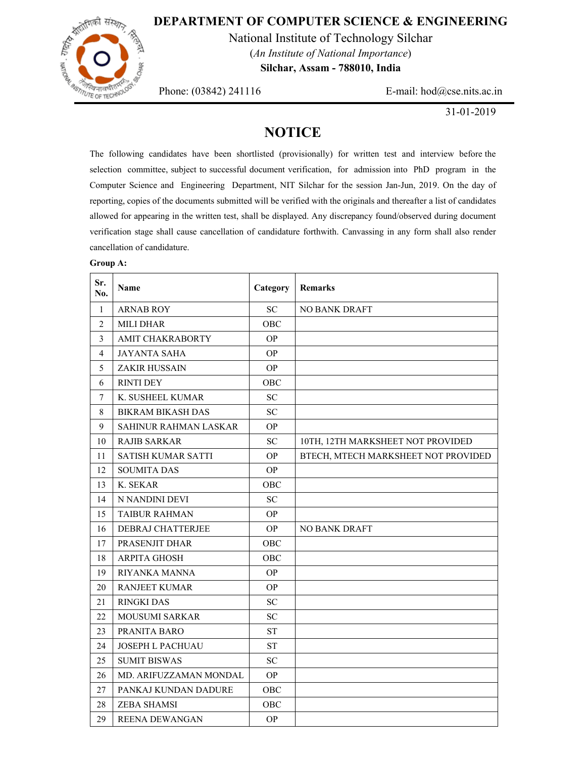### **DEPARTMENT OF COMPUTER SCIENCE & ENGINEERING**



National Institute of Technology Silchar (*An Institute of National Importance*)

**Silchar, Assam - 788010, India** 

Phone: (03842) 241116 E-mail: hod@cse.nits.ac.in

31-01-2019

## **NOTICE**

The following candidates have been shortlisted (provisionally) for written test and interview before the selection committee, subject to successful document verification, for admission into PhD program in the Computer Science and Engineering Department, NIT Silchar for the session Jan-Jun, 2019. On the day of reporting, copies of the documents submitted will be verified with the originals and thereafter a list of candidates allowed for appearing in the written test, shall be displayed. Any discrepancy found/observed during document verification stage shall cause cancellation of candidature forthwith. Canvassing in any form shall also render cancellation of candidature.

#### **Group A:**

| Sr.<br>No.     | <b>Name</b>               | Category  | <b>Remarks</b>                      |  |
|----------------|---------------------------|-----------|-------------------------------------|--|
| $\mathbf{1}$   | <b>ARNAB ROY</b>          | <b>SC</b> | <b>NO BANK DRAFT</b>                |  |
| $\overline{2}$ | <b>MILI DHAR</b>          | OBC       |                                     |  |
| 3              | <b>AMIT CHAKRABORTY</b>   | <b>OP</b> |                                     |  |
| $\overline{4}$ | <b>JAYANTA SAHA</b>       | <b>OP</b> |                                     |  |
| 5              | <b>ZAKIR HUSSAIN</b>      | <b>OP</b> |                                     |  |
| 6              | <b>RINTI DEY</b>          | OBC       |                                     |  |
| $\overline{7}$ | K. SUSHEEL KUMAR          | <b>SC</b> |                                     |  |
| 8              | <b>BIKRAM BIKASH DAS</b>  | <b>SC</b> |                                     |  |
| 9              | SAHINUR RAHMAN LASKAR     | <b>OP</b> |                                     |  |
| 10             | <b>RAJIB SARKAR</b>       | <b>SC</b> | 10TH, 12TH MARKSHEET NOT PROVIDED   |  |
| 11             | <b>SATISH KUMAR SATTI</b> | <b>OP</b> | BTECH, MTECH MARKSHEET NOT PROVIDED |  |
| 12             | <b>SOUMITA DAS</b>        | <b>OP</b> |                                     |  |
| 13             | K. SEKAR                  | OBC       |                                     |  |
| 14             | N NANDINI DEVI            | <b>SC</b> |                                     |  |
| 15             | <b>TAIBUR RAHMAN</b>      | <b>OP</b> |                                     |  |
| 16             | DEBRAJ CHATTERJEE         | <b>OP</b> | <b>NO BANK DRAFT</b>                |  |
| 17             | PRASENJIT DHAR            | OBC       |                                     |  |
| 18             | <b>ARPITA GHOSH</b>       | OBC       |                                     |  |
| 19             | RIYANKA MANNA             | <b>OP</b> |                                     |  |
| 20             | <b>RANJEET KUMAR</b>      | <b>OP</b> |                                     |  |
| 21             | <b>RINGKI DAS</b>         | <b>SC</b> |                                     |  |
| 22             | <b>MOUSUMI SARKAR</b>     | <b>SC</b> |                                     |  |
| 23             | PRANITA BARO              | <b>ST</b> |                                     |  |
| 24             | <b>JOSEPH L PACHUAU</b>   | <b>ST</b> |                                     |  |
| 25             | <b>SUMIT BISWAS</b>       | <b>SC</b> |                                     |  |
| 26             | MD. ARIFUZZAMAN MONDAL    | <b>OP</b> |                                     |  |
| 27             | PANKAJ KUNDAN DADURE      | OBC       |                                     |  |
| 28             | <b>ZEBA SHAMSI</b>        | OBC       |                                     |  |
| 29             | <b>REENA DEWANGAN</b>     | <b>OP</b> |                                     |  |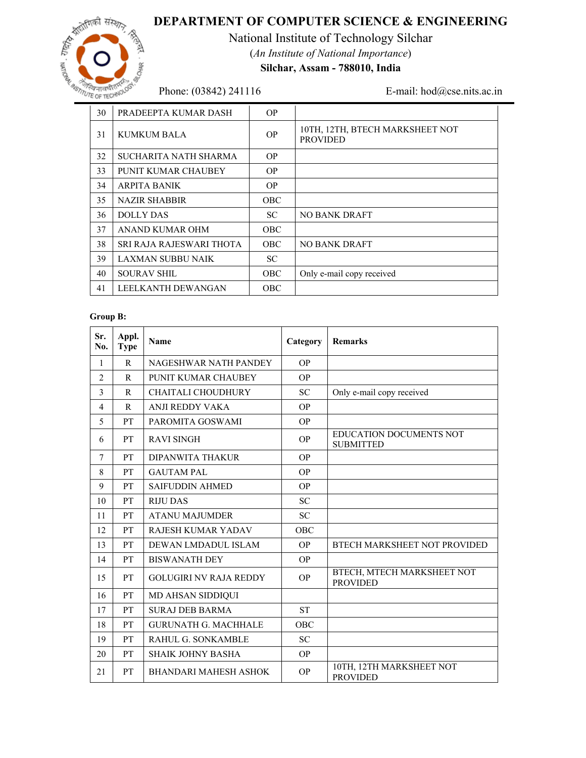

# **DEPARTMENT OF COMPUTER SCIENCE & ENGINEERING**

National Institute of Technology Silchar (*An Institute of National Importance*)

**Silchar, Assam - 788010, India** 

Phone: (03842) 241116 E-mail: hod@cse.nits.ac.in

| 30 | PRADEEPTA KUMAR DASH     | <b>OP</b>  |                                                    |  |
|----|--------------------------|------------|----------------------------------------------------|--|
| 31 | <b>KUMKUM BALA</b>       | OP.        | 10TH, 12TH, BTECH MARKSHEET NOT<br><b>PROVIDED</b> |  |
| 32 | SUCHARITA NATH SHARMA    | <b>OP</b>  |                                                    |  |
| 33 | PUNIT KUMAR CHAUBEY      | <b>OP</b>  |                                                    |  |
| 34 | <b>ARPITA BANIK</b>      | <b>OP</b>  |                                                    |  |
| 35 | NAZIR SHABBIR            | <b>OBC</b> |                                                    |  |
| 36 | <b>DOLLY DAS</b>         | SC.        | NO BANK DRAFT                                      |  |
| 37 | ANAND KUMAR OHM          | <b>OBC</b> |                                                    |  |
| 38 | SRI RAJA RAJESWARI THOTA | <b>OBC</b> | NO BANK DRAFT                                      |  |
| 39 | LAXMAN SUBBU NAIK        | SC.        |                                                    |  |
| 40 | <b>SOURAV SHIL</b>       | <b>OBC</b> | Only e-mail copy received                          |  |
| 41 | LEELKANTH DEWANGAN       | <b>OBC</b> |                                                    |  |

### **Group B:**

| Sr.<br>No.     | Appl.<br><b>Type</b> | <b>Name</b>                   | Category   | <b>Remarks</b>                                |
|----------------|----------------------|-------------------------------|------------|-----------------------------------------------|
| 1              | $\mathbf{R}$         | NAGESHWAR NATH PANDEY         | <b>OP</b>  |                                               |
| $\overline{2}$ | $\mathsf{R}$         | PUNIT KUMAR CHAUBEY           | <b>OP</b>  |                                               |
| 3              | R                    | <b>CHAITALI CHOUDHURY</b>     | <b>SC</b>  | Only e-mail copy received                     |
| $\overline{4}$ | $\mathsf{R}$         | <b>ANJI REDDY VAKA</b>        | <b>OP</b>  |                                               |
| 5              | <b>PT</b>            | PAROMITA GOSWAMI              | <b>OP</b>  |                                               |
| 6              | <b>PT</b>            | <b>RAVI SINGH</b>             | <b>OP</b>  | EDUCATION DOCUMENTS NOT<br><b>SUBMITTED</b>   |
| 7              | <b>PT</b>            | DIPANWITA THAKUR              | <b>OP</b>  |                                               |
| 8              | <b>PT</b>            | <b>GAUTAM PAL</b>             | <b>OP</b>  |                                               |
| 9              | <b>PT</b>            | <b>SAIFUDDIN AHMED</b>        | <b>OP</b>  |                                               |
| 10             | <b>PT</b>            | <b>RIJU DAS</b>               | <b>SC</b>  |                                               |
| 11             | <b>PT</b>            | <b>ATANU MAJUMDER</b>         | <b>SC</b>  |                                               |
| 12             | <b>PT</b>            | <b>RAJESH KUMAR YADAV</b>     | <b>OBC</b> |                                               |
| 13             | <b>PT</b>            | DEWAN LMDADUL ISLAM           | <b>OP</b>  | BTECH MARKSHEET NOT PROVIDED                  |
| 14             | <b>PT</b>            | <b>BISWANATH DEY</b>          | <b>OP</b>  |                                               |
| 15             | <b>PT</b>            | <b>GOLUGIRI NV RAJA REDDY</b> | <b>OP</b>  | BTECH, MTECH MARKSHEET NOT<br><b>PROVIDED</b> |
| 16             | <b>PT</b>            | <b>MD AHSAN SIDDIQUI</b>      |            |                                               |
| 17             | <b>PT</b>            | <b>SURAJ DEB BARMA</b>        | <b>ST</b>  |                                               |
| 18             | <b>PT</b>            | <b>GURUNATH G. MACHHALE</b>   | <b>OBC</b> |                                               |
| 19             | <b>PT</b>            | <b>RAHUL G. SONKAMBLE</b>     | <b>SC</b>  |                                               |
| 20             | PT                   | SHAIK JOHNY BASHA             | <b>OP</b>  |                                               |
| 21             | <b>PT</b>            | <b>BHANDARI MAHESH ASHOK</b>  | <b>OP</b>  | 10TH, 12TH MARKSHEET NOT<br><b>PROVIDED</b>   |